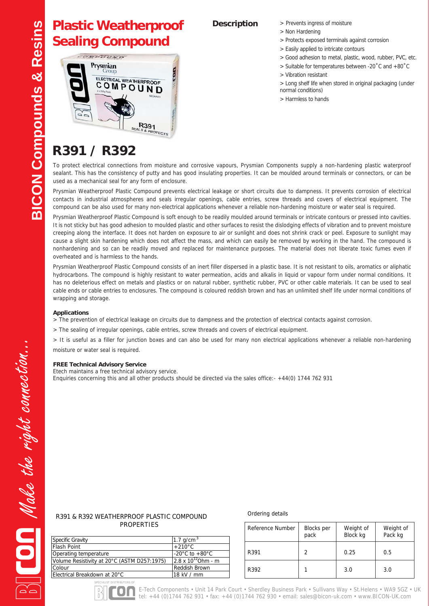## **Plastic Weatherproof Sealing Compound**



- **Description** > Prevents ingress of moisture
	- > Non Hardening
	- > Protects exposed terminals against corrosion
	- > Easily applied to intricate contours
	- > Good adhesion to metal, plastic, wood, rubber, PVC, etc.
	- > Suitable for temperatures between -20˚C and +80˚C
	- > Vibration resistant
	- > Long shelf life when stored in original packaging (under normal conditions)
	- > Harmless to hands

# **R391 / R392**

To protect electrical connections from moisture and corrosive vapours, Prysmian Components supply a non-hardening plastic waterproof sealant. This has the consistency of putty and has good insulating properties. It can be moulded around terminals or connectors, or can be used as a mechanical seal for any form of enclosure.

Prysmian Weatherproof Plastic Compound prevents electrical leakage or short circuits due to dampness. It prevents corrosion of electrical contacts in industrial atmospheres and seals irregular openings, cable entries, screw threads and covers of electrical equipment. The compound can be also used for many non-electrical applications whenever a reliable non-hardening moisture or water seal is required.

Prysmian Weatherproof Plastic Compound is soft enough to be readily moulded around terminals or intricate contours or pressed into cavities. It is not sticky but has good adhesion to moulded plastic and other surfaces to resist the dislodging effects of vibration and to prevent moisture creeping along the interface. It does not harden on exposure to air or sunlight and does not shrink crack or peel. Exposure to sunlight may cause a slight skin hardening which does not affect the mass, and which can easily be removed by working in the hand. The compound is nonhardening and so can be readily moved and replaced for maintenance purposes. The material does not liberate toxic fumes even if overheated and is harmless to the hands.

Prysmian Weatherproof Plastic Compound consists of an inert filler dispersed in a plastic base. It is not resistant to oils, aromatics or aliphatic hydrocarbons. The compound is highly resistant to water permeation, acids and alkalis in liquid or vapour form under normal conditions. It has no deleterious effect on metals and plastics or on natural rubber, synthetic rubber, PVC or other cable materials. It can be used to seal cable ends or cable entries to enclosures. The compound is coloured reddish brown and has an unlimited shelf life under normal conditions of wrapping and storage.

### **Applications**

> The prevention of electrical leakage on circuits due to dampness and the protection of electrical contacts against corrosion.

> The sealing of irregular openings, cable entries, screw threads and covers of electrical equipment.

> It is useful as a filler for junction boxes and can also be used for many non electrical applications whenever a reliable non-hardening moisture or water seal is required.

#### **FREE Technical Advisory Service**

Etech maintains a free technical advisory service. Enquiries concerning this and all other products should be directed via the sales office:- +44(0) 1744 762 931

### R391 & R392 WEATHERPROOF PLASTIC COMPOUND PROPERTIES

SPECIALIST DISTRIBUTORS OF

<u> 100 </u>

#### Ordering details

| <b>Specific Gravity</b>                     | 1.7 $g/cm^3$                       |
|---------------------------------------------|------------------------------------|
| <b>Flash Point</b>                          | $+210^{\circ}$ C                   |
| Operating temperature                       | -20 $\degree$ C to +80 $\degree$ C |
| Volume Resistivity at 20°C (ASTM D257:1975) | $2.8 \times 10^{12}$ Ohm - m       |
| Colour                                      | Reddish Brown                      |
| Electrical Breakdown at 20°C                | 18 kV / mm                         |

| Reference Number | <b>Blocks</b> per<br>pack | Weight of<br>Block kg | Weight of<br>Pack kg |
|------------------|---------------------------|-----------------------|----------------------|
| R391             |                           | 0.25                  | 0.5                  |
| R392             |                           | 3.0                   | 3.0                  |



E-Tech Components • Unit 14 Park Court • Sherdley Business Park • Sullivans Way • St.Helens • WA9 5GZ • UK tel: +44 (0)1744 762 931 • fax: +44 (0)1744 762 930 • email: sales@bicon-uk.com • www.BICON-UK.com